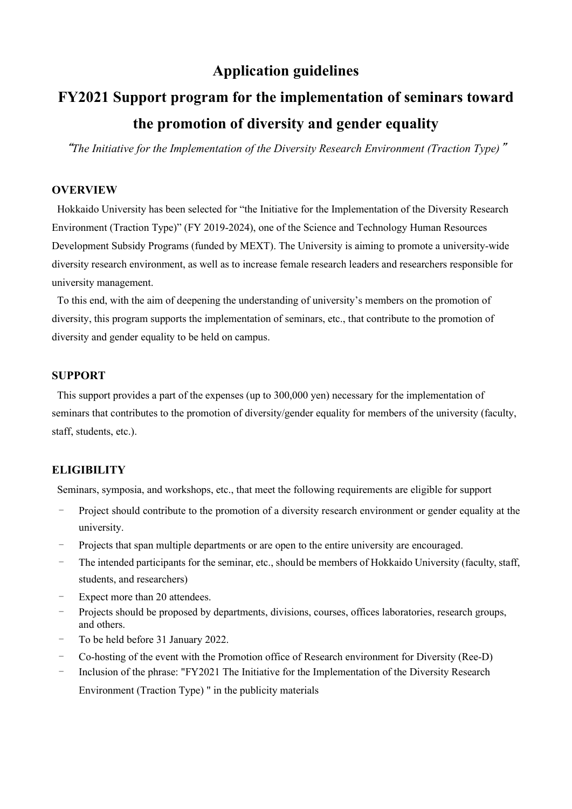# **Application guidelines**

# **FY2021 Support program for the implementation of seminars toward the promotion of diversity and gender equality**

"*The Initiative for the Implementation of the Diversity Research Environment (Traction Type)*"

# **OVERVIEW**

Hokkaido University has been selected for "the Initiative for the Implementation of the Diversity Research Environment (Traction Type)" (FY 2019-2024), one of the Science and Technology Human Resources Development Subsidy Programs (funded by MEXT). The University is aiming to promote a university-wide diversity research environment, as well as to increase female research leaders and researchers responsible for university management.

To this end, with the aim of deepening the understanding of university's members on the promotion of diversity, this program supports the implementation of seminars, etc., that contribute to the promotion of diversity and gender equality to be held on campus.

# **SUPPORT**

This support provides a part of the expenses (up to 300,000 yen) necessary for the implementation of seminars that contributes to the promotion of diversity/gender equality for members of the university (faculty, staff, students, etc.).

# **ELIGIBILITY**

Seminars, symposia, and workshops, etc., that meet the following requirements are eligible for support

- Project should contribute to the promotion of a diversity research environment or gender equality at the university.
- Projects that span multiple departments or are open to the entire university are encouraged.
- The intended participants for the seminar, etc., should be members of Hokkaido University (faculty, staff, students, and researchers)
- Expect more than 20 attendees.
- Projects should be proposed by departments, divisions, courses, offices laboratories, research groups, and others.
- To be held before 31 January 2022.
- Co-hosting of the event with the Promotion office of Research environment for Diversity (Ree-D)
- Inclusion of the phrase: "FY2021 The Initiative for the Implementation of the Diversity Research Environment (Traction Type) " in the publicity materials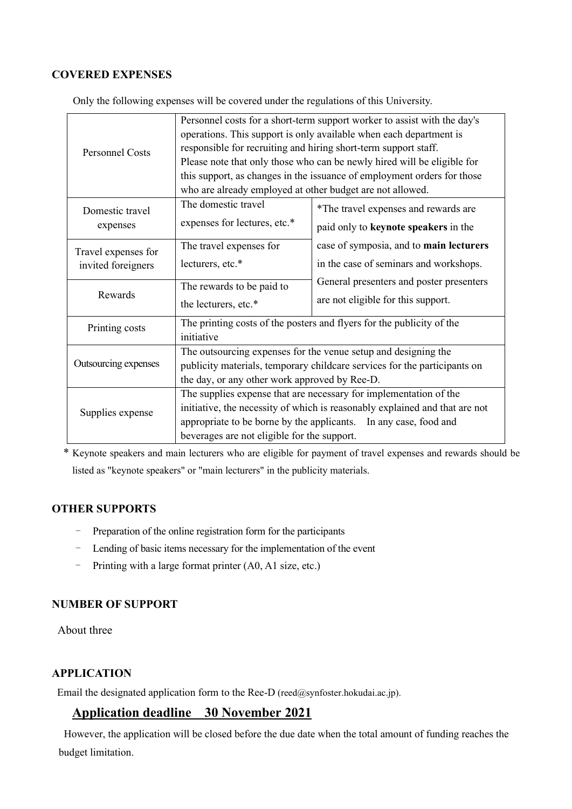# **COVERED EXPENSES**

| <b>Personnel Costs</b>                             | Personnel costs for a short-term support worker to assist with the day's    |                                          |
|----------------------------------------------------|-----------------------------------------------------------------------------|------------------------------------------|
|                                                    | operations. This support is only available when each department is          |                                          |
|                                                    | responsible for recruiting and hiring short-term support staff.             |                                          |
|                                                    | Please note that only those who can be newly hired will be eligible for     |                                          |
|                                                    | this support, as changes in the issuance of employment orders for those     |                                          |
|                                                    | who are already employed at other budget are not allowed.                   |                                          |
| Domestic travel<br>expenses<br>Travel expenses for | The domestic travel                                                         | *The travel expenses and rewards are     |
|                                                    | expenses for lectures, etc.*                                                | paid only to keynote speakers in the     |
|                                                    | The travel expenses for                                                     | case of symposia, and to main lecturers  |
|                                                    |                                                                             |                                          |
| invited foreigners                                 | lecturers, etc.*                                                            | in the case of seminars and workshops.   |
| Rewards                                            | The rewards to be paid to                                                   | General presenters and poster presenters |
|                                                    |                                                                             | are not eligible for this support.       |
|                                                    | the lecturers, etc.*                                                        |                                          |
| Printing costs                                     | The printing costs of the posters and flyers for the publicity of the       |                                          |
|                                                    | initiative                                                                  |                                          |
| Outsourcing expenses                               | The outsourcing expenses for the venue setup and designing the              |                                          |
|                                                    | publicity materials, temporary childcare services for the participants on   |                                          |
|                                                    | the day, or any other work approved by Ree-D.                               |                                          |
| Supplies expense                                   | The supplies expense that are necessary for implementation of the           |                                          |
|                                                    | initiative, the necessity of which is reasonably explained and that are not |                                          |
|                                                    | appropriate to be borne by the applicants.<br>In any case, food and         |                                          |
|                                                    | beverages are not eligible for the support.                                 |                                          |

Only the following expenses will be covered under the regulations of this University.

\* Keynote speakers and main lecturers who are eligible for payment of travel expenses and rewards should be listed as "keynote speakers" or "main lecturers" in the publicity materials.

# **OTHER SUPPORTS**

- Preparation of the online registration form for the participants
- Lending of basic items necessary for the implementation of the event
- Printing with a large format printer (A0, A1 size, etc.)

# **NUMBER OF SUPPORT**

About three

# **APPLICATION**

Email the designated application form to the Ree-D (reed@synfoster.hokudai.ac.jp).

# **Application deadline 30 November 2021**

However, the application will be closed before the due date when the total amount of funding reaches the budget limitation.